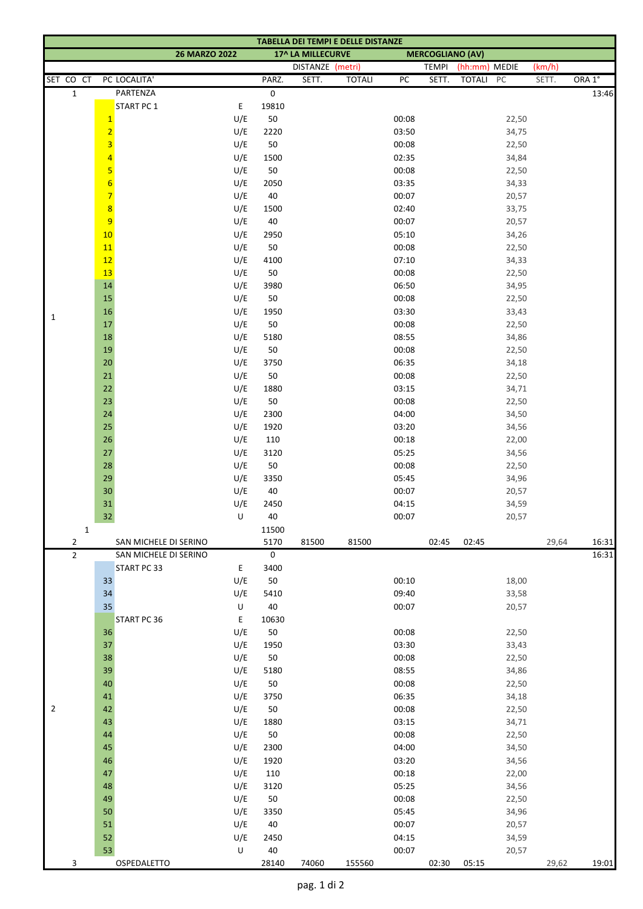| TABELLA DEI TEMPI E DELLE DISTANZE |                                           |                       |                                                                      |             |                  |               |                |              |               |                |        |        |
|------------------------------------|-------------------------------------------|-----------------------|----------------------------------------------------------------------|-------------|------------------|---------------|----------------|--------------|---------------|----------------|--------|--------|
|                                    |                                           |                       | <b>26 MARZO 2022</b><br>17^ LA MILLECURVE<br><b>MERCOGLIANO (AV)</b> |             |                  |               |                |              |               |                |        |        |
|                                    |                                           |                       |                                                                      |             | DISTANZE (metri) |               |                | <b>TEMPI</b> | (hh:mm) MEDIE |                | (km/h) |        |
| SET CO CT                          |                                           | PC LOCALITA'          |                                                                      | PARZ.       | SETT.            | <b>TOTALI</b> | PC             | SETT.        | TOTALI PC     |                | SETT.  | ORA 1° |
| $\mathbf 1$                        |                                           | PARTENZA              |                                                                      | 0           |                  |               |                |              |               |                |        | 13:46  |
|                                    |                                           | <b>START PC 1</b>     | E                                                                    | 19810       |                  |               |                |              |               |                |        |        |
|                                    | $\mathbf{1}$                              |                       | U/E                                                                  | 50          |                  |               | 00:08          |              |               | 22,50          |        |        |
|                                    | $\overline{2}$<br>$\overline{\mathbf{3}}$ |                       | U/E                                                                  | 2220        |                  |               | 03:50          |              |               | 34,75          |        |        |
|                                    | $\overline{4}$                            |                       | U/E                                                                  | 50          |                  |               | 00:08<br>02:35 |              |               | 22,50          |        |        |
|                                    | 5                                         |                       | U/E<br>U/E                                                           | 1500<br>50  |                  |               | 00:08          |              |               | 34,84<br>22,50 |        |        |
|                                    | $6\phantom{1}6$                           |                       | U/E                                                                  | 2050        |                  |               | 03:35          |              |               | 34,33          |        |        |
|                                    | $\overline{7}$                            |                       | U/E                                                                  | 40          |                  |               | 00:07          |              |               | 20,57          |        |        |
|                                    | $\boldsymbol{8}$                          |                       | U/E                                                                  | 1500        |                  |               | 02:40          |              |               | 33,75          |        |        |
|                                    | $\overline{9}$                            |                       | U/E                                                                  | 40          |                  |               | 00:07          |              |               | 20,57          |        |        |
|                                    | 10                                        |                       | U/E                                                                  | 2950        |                  |               | 05:10          |              |               | 34,26          |        |        |
|                                    | 11                                        |                       | U/E                                                                  | 50          |                  |               | 00:08          |              |               | 22,50          |        |        |
|                                    | 12                                        |                       | U/E                                                                  | 4100        |                  |               | 07:10          |              |               | 34,33          |        |        |
|                                    | 13                                        |                       | U/E                                                                  | 50          |                  |               | 00:08          |              |               | 22,50          |        |        |
|                                    | 14                                        |                       | U/E                                                                  | 3980        |                  |               | 06:50          |              |               | 34,95          |        |        |
|                                    | 15                                        |                       | U/E                                                                  | 50          |                  |               | 00:08          |              |               | 22,50          |        |        |
| $\mathbf{1}$                       | $16\,$                                    |                       | U/E                                                                  | 1950        |                  |               | 03:30          |              |               | 33,43          |        |        |
|                                    | 17                                        |                       | U/E                                                                  | 50          |                  |               | 00:08          |              |               | 22,50          |        |        |
|                                    | $18\,$                                    |                       | U/E                                                                  | 5180        |                  |               | 08:55          |              |               | 34,86          |        |        |
|                                    | $19\,$                                    |                       | U/E                                                                  | $50\,$      |                  |               | 00:08          |              |               | 22,50          |        |        |
|                                    | $20\,$                                    |                       | U/E                                                                  | 3750        |                  |               | 06:35          |              |               | 34,18          |        |        |
|                                    | $21\,$                                    |                       | U/E                                                                  | 50          |                  |               | 00:08          |              |               | 22,50          |        |        |
|                                    | $22\,$                                    |                       | U/E                                                                  | 1880        |                  |               | 03:15          |              |               | 34,71          |        |        |
|                                    | 23                                        |                       | U/E                                                                  | 50          |                  |               | 00:08          |              |               | 22,50          |        |        |
|                                    | 24                                        |                       | U/E                                                                  | 2300        |                  |               | 04:00          |              |               | 34,50          |        |        |
|                                    | 25<br>$26\,$                              |                       | U/E<br>U/E                                                           | 1920<br>110 |                  |               | 03:20<br>00:18 |              |               | 34,56          |        |        |
|                                    | 27                                        |                       | U/E                                                                  | 3120        |                  |               | 05:25          |              |               | 22,00<br>34,56 |        |        |
|                                    | 28                                        |                       | U/E                                                                  | $50\,$      |                  |               | 00:08          |              |               | 22,50          |        |        |
|                                    | 29                                        |                       | U/E                                                                  | 3350        |                  |               | 05:45          |              |               | 34,96          |        |        |
|                                    | $30\,$                                    |                       | U/E                                                                  | $40\,$      |                  |               | 00:07          |              |               | 20,57          |        |        |
|                                    | $31\,$                                    |                       | U/E                                                                  | 2450        |                  |               | 04:15          |              |               | 34,59          |        |        |
|                                    | 32                                        |                       | $\cup$                                                               | 40          |                  |               | 00:07          |              |               | 20,57          |        |        |
| $\mathbf 1$                        |                                           |                       |                                                                      | 11500       |                  |               |                |              |               |                |        |        |
| 2                                  |                                           | SAN MICHELE DI SERINO |                                                                      | 5170        | 81500            | 81500         |                | 02:45        | 02:45         |                | 29,64  | 16:31  |
| $\mathbf{2}$                       |                                           | SAN MICHELE DI SERINO |                                                                      | 0           |                  |               |                |              |               |                |        | 16:31  |
|                                    |                                           | START PC 33           | E                                                                    | 3400        |                  |               |                |              |               |                |        |        |
|                                    | 33                                        |                       | U/E                                                                  | 50          |                  |               | 00:10          |              |               | 18,00          |        |        |
|                                    | 34                                        |                       | U/E                                                                  | 5410        |                  |               | 09:40          |              |               | 33,58          |        |        |
|                                    | 35                                        |                       | $\sf U$                                                              | 40          |                  |               | 00:07          |              |               | 20,57          |        |        |
|                                    |                                           | START PC 36           | E                                                                    | 10630       |                  |               |                |              |               |                |        |        |
|                                    | 36                                        |                       | U/E                                                                  | $50\,$      |                  |               | 00:08          |              |               | 22,50          |        |        |
|                                    | 37                                        |                       | U/E                                                                  | 1950        |                  |               | 03:30          |              |               | 33,43          |        |        |
|                                    | 38<br>39                                  |                       | U/E<br>U/E                                                           | 50<br>5180  |                  |               | 00:08<br>08:55 |              |               | 22,50          |        |        |
|                                    | 40                                        |                       | U/E                                                                  | 50          |                  |               | 00:08          |              |               | 34,86<br>22,50 |        |        |
|                                    | 41                                        |                       | U/E                                                                  | 3750        |                  |               | 06:35          |              |               | 34,18          |        |        |
| $\overline{2}$                     | 42                                        |                       | U/E                                                                  | $50\,$      |                  |               | 00:08          |              |               | 22,50          |        |        |
|                                    | 43                                        |                       | U/E                                                                  | 1880        |                  |               | 03:15          |              |               | 34,71          |        |        |
|                                    | 44                                        |                       | U/E                                                                  | 50          |                  |               | 00:08          |              |               | 22,50          |        |        |
|                                    | 45                                        |                       | U/E                                                                  | 2300        |                  |               | 04:00          |              |               | 34,50          |        |        |
|                                    | 46                                        |                       | U/E                                                                  | 1920        |                  |               | 03:20          |              |               | 34,56          |        |        |
|                                    | 47                                        |                       | U/E                                                                  | 110         |                  |               | 00:18          |              |               | 22,00          |        |        |
|                                    | 48                                        |                       | U/E                                                                  | 3120        |                  |               | 05:25          |              |               | 34,56          |        |        |
|                                    | 49                                        |                       | U/E                                                                  | 50          |                  |               | 00:08          |              |               | 22,50          |        |        |
|                                    | 50                                        |                       | U/E                                                                  | 3350        |                  |               | 05:45          |              |               | 34,96          |        |        |
|                                    | 51                                        |                       | U/E                                                                  | $40\,$      |                  |               | 00:07          |              |               | 20,57          |        |        |
|                                    | 52                                        |                       | U/E                                                                  | 2450        |                  |               | 04:15          |              |               | 34,59          |        |        |
|                                    | 53                                        |                       | U                                                                    | 40          |                  |               | 00:07          |              |               | 20,57          |        |        |
| 3                                  |                                           | OSPEDALETTO           |                                                                      | 28140       | 74060            | 155560        |                | 02:30        | 05:15         |                | 29,62  | 19:01  |